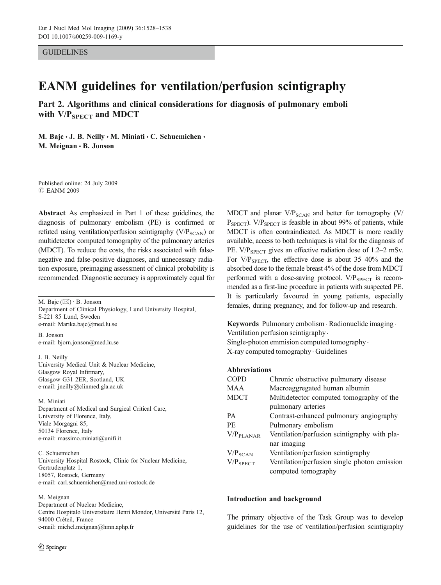GUIDELINES

# EANM guidelines for ventilation/perfusion scintigraphy

Part 2. Algorithms and clinical considerations for diagnosis of pulmonary emboli with  $V/P_{SPECT}$  and MDCT

M. Bajc · J. B. Neilly · M. Miniati · C. Schuemichen · M. Meignan · B. Jonson

Published online: 24 July 2009 *#* EANM 2009

Abstract As emphasized in Part 1 of these guidelines, the diagnosis of pulmonary embolism (PE) is confirmed or refuted using ventilation/perfusion scintigraphy  $(V/P_{SCAN})$  or multidetector computed tomography of the pulmonary arteries (MDCT). To reduce the costs, the risks associated with falsenegative and false-positive diagnoses, and unnecessary radiation exposure, preimaging assessment of clinical probability is recommended. Diagnostic accuracy is approximately equal for

M. Bajc (*\**) *:* B. Jonson Department of Clinical Physiology, Lund University Hospital, S-221 85 Lund, Sweden e-mail: Marika.bajc@med.lu.se B. Jonson

e-mail: bjorn.jonson@med.lu.se

J. B. Neilly University Medical Unit & Nuclear Medicine, Glasgow Royal Infirmary, Glasgow G31 2ER, Scotland, UK e-mail: jneilly@clinmed.gla.ac.uk

M. Miniati Department of Medical and Surgical Critical Care, University of Florence, Italy, Viale Morgagni 85, 50134 Florence, Italy e-mail: massimo.miniati@unifi.it

C. Schuemichen University Hospital Rostock, Clinic for Nuclear Medicine, Gertrudenplatz 1, 18057, Rostock, Germany e-mail: carl.schuemichen@med.uni-rostock.de

#### M. Meignan

Department of Nuclear Medicine, Centre Hospitalo Universitaire Henri Mondor, Université Paris 12, 94000 Créteil, France e-mail: michel.meignan@hmn.aphp.fr

MDCT and planar  $V/P_{SCAN}$  and better for tomography (V/  $P_{SPECT}$ ). V/ $P_{SPECT}$  is feasible in about 99% of patients, while MDCT is often contraindicated. As MDCT is more readily available, access to both techniques is vital for the diagnosis of PE.  $V/P_{SPECT}$  gives an effective radiation dose of 1.2–2 mSv. For  $V/P_{\text{SPECT}}$ , the effective dose is about 35–40% and the absorbed dose to the female breast 4% of the dose from MDCT performed with a dose-saving protocol.  $V/P_{SPECT}$  is recommended as a first-line procedure in patients with suspected PE. It is particularly favoured in young patients, especially females, during pregnancy, and for follow-up and research.

Keywords Pulmonary embolism . Radionuclide imaging . Ventilation perfusion scintigraphy . Single-photon emmision computed tomography .

X-ray computed tomography . Guidelines

### Abbreviations

| <b>COPD</b>            | Chronic obstructive pulmonary disease        |
|------------------------|----------------------------------------------|
| MAA                    | Macroaggregated human albumin                |
| <b>MDCT</b>            | Multidetector computed tomography of the     |
|                        | pulmonary arteries                           |
| PА                     | Contrast-enhanced pulmonary angiography      |
| PE.                    | Pulmonary embolism                           |
| V/P <sub>PI</sub> ANAR | Ventilation/perfusion scintigraphy with pla- |
|                        | nar imaging                                  |
| $V/P_{SCAN}$           | Ventilation/perfusion scintigraphy           |
| $V/P_{SPECT}$          | Ventilation/perfusion single photon emission |
|                        | computed tomography                          |
|                        |                                              |

### Introduction and background

The primary objective of the Task Group was to develop guidelines for the use of ventilation/perfusion scintigraphy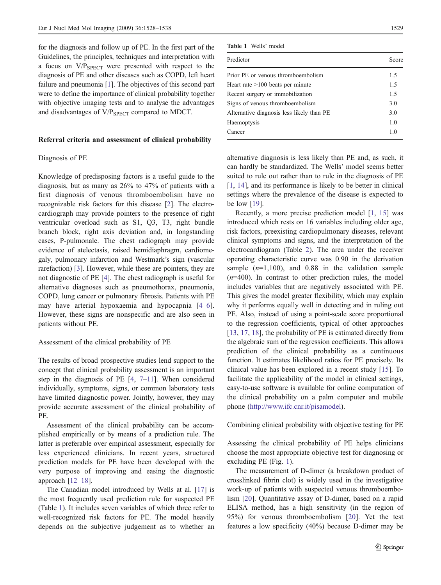for the diagnosis and follow up of PE. In the first part of the Guidelines, the principles, techniques and interpretation with a focus on  $V/P_{\text{SPECT}}$  were presented with respect to the diagnosis of PE and other diseases such as COPD, left heart failure and pneumonia [\[1\]](#page-9-0). The objectives of this second part were to define the importance of clinical probability together with objective imaging tests and to analyse the advantages and disadvantages of V/P<sub>SPECT</sub> compared to MDCT.

#### Referral criteria and assessment of clinical probability

## Diagnosis of PE

Knowledge of predisposing factors is a useful guide to the diagnosis, but as many as 26% to 47% of patients with a first diagnosis of venous thromboembolism have no recognizable risk factors for this disease [[2\]](#page-9-0). The electrocardiograph may provide pointers to the presence of right ventricular overload such as S1, Q3, T3, right bundle branch block, right axis deviation and, in longstanding cases, P-pulmonale. The chest radiograph may provide evidence of atelectasis, raised hemidiaphragm, cardiomegaly, pulmonary infarction and Westmark's sign (vascular rarefaction) [\[3](#page-9-0)]. However, while these are pointers, they are not diagnostic of PE [\[4](#page-9-0)]. The chest radiograph is useful for alternative diagnoses such as pneumothorax, pneumonia, COPD, lung cancer or pulmonary fibrosis. Patients with PE may have arterial hypoxaemia and hypocapnia [[4](#page-9-0)–[6\]](#page-9-0). However, these signs are nonspecific and are also seen in patients without PE.

## Assessment of the clinical probability of PE

The results of broad prospective studies lend support to the concept that clinical probability assessment is an important step in the diagnosis of PE [\[4](#page-9-0), [7](#page-9-0)–[11](#page-9-0)]. When considered individually, symptoms, signs, or common laboratory tests have limited diagnostic power. Jointly, however, they may provide accurate assessment of the clinical probability of PE.

Assessment of the clinical probability can be accomplished empirically or by means of a prediction rule. The latter is preferable over empirical assessment, especially for less experienced clinicians. In recent years, structured prediction models for PE have been developed with the very purpose of improving and easing the diagnostic approach  $[12-18]$  $[12-18]$  $[12-18]$  $[12-18]$ .

The Canadian model introduced by Wells at al. [\[17](#page-9-0)] is the most frequently used prediction rule for suspected PE (Table 1). It includes seven variables of which three refer to well-recognized risk factors for PE. The model heavily depends on the subjective judgement as to whether an

| Wells' model<br>Table 1 |
|-------------------------|
|-------------------------|

| Predictor                                 | Score |
|-------------------------------------------|-------|
| Prior PE or venous thromboembolism        | 1.5   |
| Heart rate $>100$ beats per minute        | 1.5   |
| Recent surgery or immobilization          | 1.5   |
| Signs of venous thromboembolism           | 3.0   |
| Alternative diagnosis less likely than PE | 3.0   |
| Haemoptysis                               | 1.0   |
| Cancer                                    | 1.0   |
|                                           |       |

alternative diagnosis is less likely than PE and, as such, it can hardly be standardized. The Wells' model seems better suited to rule out rather than to rule in the diagnosis of PE [\[1](#page-9-0), [14](#page-9-0)], and its performance is likely to be better in clinical settings where the prevalence of the disease is expected to be low [[19\]](#page-9-0).

Recently, a more precise prediction model [[1,](#page-9-0) [15](#page-9-0)] was introduced which rests on 16 variables including older age, risk factors, preexisting cardiopulmonary diseases, relevant clinical symptoms and signs, and the interpretation of the electrocardiogram (Table [2\)](#page-2-0). The area under the receiver operating characteristic curve was 0.90 in the derivation sample  $(n=1,100)$ , and 0.88 in the validation sample  $(n=400)$ . In contrast to other prediction rules, the model includes variables that are negatively associated with PE. This gives the model greater flexibility, which may explain why it performs equally well in detecting and in ruling out PE. Also, instead of using a point-scale score proportional to the regression coefficients, typical of other approaches [\[13](#page-9-0), [17](#page-9-0), [18](#page-9-0)], the probability of PE is estimated directly from the algebraic sum of the regression coefficients. This allows prediction of the clinical probability as a continuous function. It estimates likelihood ratios for PE precisely. Its clinical value has been explored in a recent study [\[15](#page-9-0)]. To facilitate the applicability of the model in clinical settings, easy-to-use software is available for online computation of the clinical probability on a palm computer and mobile phone ([http://www.ifc.cnr.it/pisamodel\)](http://www.ifc.cnr.it/pisamodel).

Combining clinical probability with objective testing for PE

Assessing the clinical probability of PE helps clinicians choose the most appropriate objective test for diagnosing or excluding PE (Fig. [1](#page-2-0)).

The measurement of D-dimer (a breakdown product of crosslinked fibrin clot) is widely used in the investigative work-up of patients with suspected venous thromboembolism [\[20](#page-9-0)]. Quantitative assay of D-dimer, based on a rapid ELISA method, has a high sensitivity (in the region of 95%) for venous thromboembolism [[20\]](#page-9-0). Yet the test features a low specificity (40%) because D-dimer may be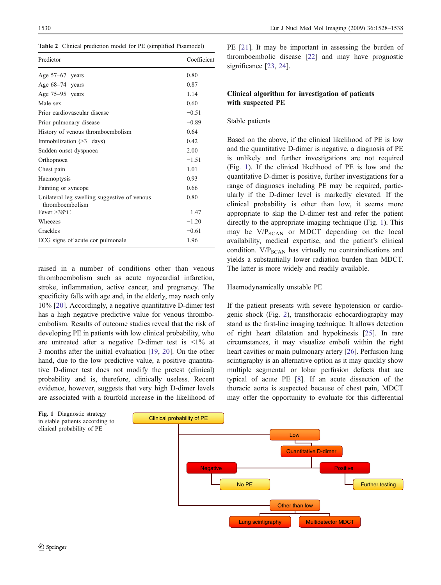<span id="page-2-0"></span>Table 2 Clinical prediction model for PE (simplified Pisamodel)

| Predictor                                                       | Coefficient |
|-----------------------------------------------------------------|-------------|
| Age $57-67$ years                                               | 0.80        |
| Age $68-74$ years                                               | 0.87        |
| Age 75–95 years                                                 | 1.14        |
| Male sex                                                        | 0.60        |
| Prior cardiovascular disease                                    | $-0.51$     |
| Prior pulmonary disease                                         | $-0.89$     |
| History of venous thromboembolism                               | 0.64        |
| Immobilization $($ >3 days)                                     | 0.42        |
| Sudden onset dyspnoea                                           | 2.00        |
| Orthopnoea                                                      | $-1.51$     |
| Chest pain                                                      | 1.01        |
| Haemoptysis                                                     | 0.93        |
| Fainting or syncope                                             | 0.66        |
| Unilateral leg swelling suggestive of venous<br>thromboembolism | 0.80        |
| Fever $>38^{\circ}$ C                                           | $-1.47$     |
| Wheezes                                                         | $-1.20$     |
| Crackles                                                        | $-0.61$     |
| ECG signs of acute cor pulmonale                                | 1.96        |

raised in a number of conditions other than venous thromboembolism such as acute myocardial infarction, stroke, inflammation, active cancer, and pregnancy. The specificity falls with age and, in the elderly, may reach only 10% [[20\]](#page-9-0). Accordingly, a negative quantitative D-dimer test has a high negative predictive value for venous thromboembolism. Results of outcome studies reveal that the risk of developing PE in patients with low clinical probability, who are untreated after a negative D-dimer test is  $\leq 1\%$  at 3 months after the initial evaluation [\[19](#page-9-0), [20](#page-9-0)]. On the other hand, due to the low predictive value, a positive quantitative D-dimer test does not modify the pretest (clinical) probability and is, therefore, clinically useless. Recent evidence, however, suggests that very high D-dimer levels are associated with a fourfold increase in the likelihood of PE [[21\]](#page-9-0). It may be important in assessing the burden of thromboembolic disease [[22\]](#page-9-0) and may have prognostic significance [[23,](#page-9-0) [24\]](#page-9-0).

# Clinical algorithm for investigation of patients with suspected PE

## Stable patients

Based on the above, if the clinical likelihood of PE is low and the quantitative D-dimer is negative, a diagnosis of PE is unlikely and further investigations are not required (Fig. 1). If the clinical likelihood of PE is low and the quantitative D-dimer is positive, further investigations for a range of diagnoses including PE may be required, particularly if the D-dimer level is markedly elevated. If the clinical probability is other than low, it seems more appropriate to skip the D-dimer test and refer the patient directly to the appropriate imaging technique (Fig. 1). This may be  $V/P_{SCAN}$  or MDCT depending on the local availability, medical expertise, and the patient's clinical condition.  $V/P_{SCAN}$  has virtually no contraindications and yields a substantially lower radiation burden than MDCT. The latter is more widely and readily available.

#### Haemodynamically unstable PE

If the patient presents with severe hypotension or cardiogenic shock (Fig. [2\)](#page-3-0), transthoracic echocardiography may stand as the first-line imaging technique. It allows detection of right heart dilatation and hypokinesis [\[25](#page-9-0)]. In rare circumstances, it may visualize emboli within the right heart cavities or main pulmonary artery [[26\]](#page-9-0). Perfusion lung scintigraphy is an alternative option as it may quickly show multiple segmental or lobar perfusion defects that are typical of acute PE [[8\]](#page-9-0). If an acute dissection of the thoracic aorta is suspected because of chest pain, MDCT may offer the opportunity to evaluate for this differential

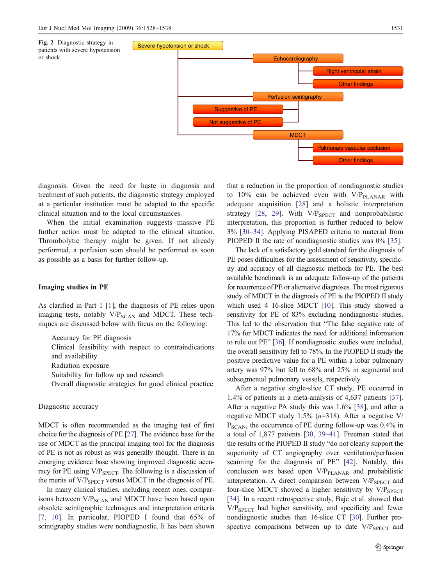<span id="page-3-0"></span>

diagnosis. Given the need for haste in diagnosis and treatment of such patients, the diagnostic strategy employed at a particular institution must be adapted to the specific clinical situation and to the local circumstances.

When the initial examination suggests massive PE further action must be adapted to the clinical situation. Thrombolytic therapy might be given. If not already performed, a perfusion scan should be performed as soon as possible as a basis for further follow-up.

## Imaging studies in PE

As clarified in Part 1 [[1\]](#page-9-0), the diagnosis of PE relies upon imaging tests, notably  $V/P_{SCAN}$  and MDCT. These techniques are discussed below with focus on the following:

Accuracy for PE diagnosis Clinical feasibility with respect to contraindications and availability Radiation exposure Suitability for follow up and research Overall diagnostic strategies for good clinical practice

#### Diagnostic accuracy

MDCT is often recommended as the imaging test of first choice for the diagnosis of PE [\[27](#page-10-0)]. The evidence base for the use of MDCT as the principal imaging tool for the diagnosis of PE is not as robust as was generally thought. There is an emerging evidence base showing improved diagnostic accuracy for PE using  $V/P_{SPECT}$ . The following is a discussion of the merits of V/P<sub>SPECT</sub> versus MDCT in the diagnosis of PE.

In many clinical studies, including recent ones, comparisons between V/P<sub>SCAN</sub> and MDCT have been based upon obsolete scintigraphic techniques and interpretation criteria [[7](#page-9-0), [10](#page-9-0)]. In particular, PIOPED I found that 65% of scintigraphy studies were nondiagnostic. It has been shown

that a reduction in the proportion of nondiagnostic studies to 10% can be achieved even with  $V/P_{\text{PLANAR}}$  with adequate acquisition [[28](#page-10-0)] and a holistic interpretation strategy [[28](#page-10-0), [29](#page-10-0)]. With  $V/P_{SPECT}$  and nonprobabilistic interpretation, this proportion is further reduced to below 3% [\[30](#page-10-0)–[34\]](#page-10-0). Applying PISAPED criteria to material from PIOPED II the rate of nondiagnostic studies was 0% [\[35](#page-10-0)].

The lack of a satisfactory gold standard for the diagnosis of PE poses difficulties for the assessment of sensitivity, specificity and accuracy of all diagnostic methods for PE. The best available benchmark is an adequate follow-up of the patients for recurrence of PE or alternative diagnoses. The most rigorous study of MDCT in the diagnosis of PE is the PIOPED II study which used 4–16-slice MDCT [\[10\]](#page-9-0). This study showed a sensitivity for PE of 83% excluding nondiagnostic studies. This led to the observation that "The false negative rate of 17% for MDCT indicates the need for additional information to rule out PE" [\[36](#page-10-0)]. If nondiagnostic studies were included, the overall sensitivity fell to 78%. In the PIOPED II study the positive predictive value for a PE within a lobar pulmonary artery was 97% but fell to 68% and 25% in segmental and subsegmental pulmonary vessels, respectively.

After a negative single-slice CT study, PE occurred in 1.4% of patients in a meta-analysis of 4,637 patients [\[37](#page-10-0)]. After a negative PA study this was 1.6% [[38\]](#page-10-0), and after a negative MDCT study 1.5%  $(n=318)$ . After a negative V/  $P_{SCAN}$ , the occurrence of PE during follow-up was 0.4% in a total of 1,877 patients [\[30](#page-10-0), [39](#page-10-0)–[41\]](#page-10-0). Freeman stated that the results of the PIOPED II study "do not clearly support the superiority of CT angiography over ventilation/perfusion scanning for the diagnosis of PE" [\[42](#page-10-0)]. Notably, this conclusion was based upon  $V/P<sub>PLANAR</sub>$  and probabilistic interpretation. A direct comparison between  $V/P_{SPECT}$  and four-slice MDCT showed a higher sensitivity by  $V/P_{SPECT}$ [\[34\]](#page-10-0). In a recent retrospective study, Bajc et al. showed that  $V/P<sub>SPECT</sub>$  had higher sensitivity, and specificity and fewer nondiagnostic studies than 16-slice CT [\[30](#page-10-0)]. Further prospective comparisons between up to date  $V/P_{SPECT}$  and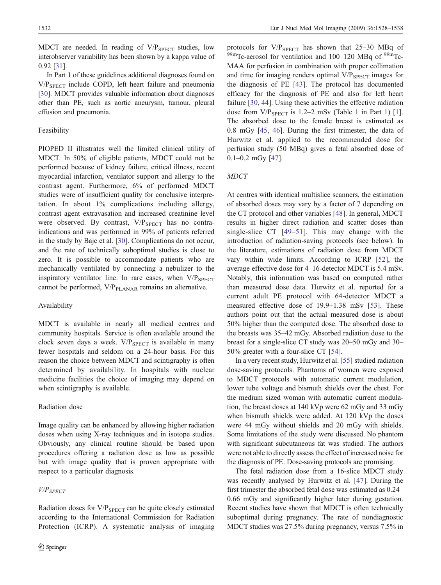MDCT are needed. In reading of V/P<sub>SPECT</sub> studies, low interobserver variability has been shown by a kappa value of 0.92 [\[31\]](#page-10-0).

In Part 1 of these guidelines additional diagnoses found on V/P<sub>SPECT</sub> include COPD, left heart failure and pneumonia [[30\]](#page-10-0). MDCT provides valuable information about diagnoses other than PE, such as aortic aneurysm, tumour, pleural effusion and pneumonia.

## Feasibility

PIOPED II illustrates well the limited clinical utility of MDCT. In 50% of eligible patients, MDCT could not be performed because of kidney failure, critical illness, recent myocardial infarction, ventilator support and allergy to the contrast agent. Furthermore, 6% of performed MDCT studies were of insufficient quality for conclusive interpretation. In about 1% complications including allergy, contrast agent extravasation and increased creatinine level were observed. By contrast,  $V/P_{SPECT}$  has no contraindications and was performed in 99% of patients referred in the study by Bajc et al. [\[30](#page-10-0)]. Complications do not occur, and the rate of technically suboptimal studies is close to zero. It is possible to accommodate patients who are mechanically ventilated by connecting a nebulizer to the inspiratory ventilator line. In rare cases, when  $V/P_{SPECT}$ cannot be performed,  $V/P<sub>PLANAR</sub>$  remains an alternative.

## Availability

MDCT is available in nearly all medical centres and community hospitals. Service is often available around the clock seven days a week.  $V/P_{SPECT}$  is available in many fewer hospitals and seldom on a 24-hour basis. For this reason the choice between MDCT and scintigraphy is often determined by availability. In hospitals with nuclear medicine facilities the choice of imaging may depend on when scintigraphy is available.

#### Radiation dose

Image quality can be enhanced by allowing higher radiation doses when using X-ray techniques and in isotope studies. Obviously, any clinical routine should be based upon procedures offering a radiation dose as low as possible but with image quality that is proven appropriate with respect to a particular diagnosis.

# V/PSPECT

Radiation doses for  $V/P_{SPECT}$  can be quite closely estimated according to the International Commission for Radiation Protection (ICRP). A systematic analysis of imaging

protocols for  $V/P_{SPECT}$  has shown that 25–30 MBq of  $^{99m}$ Tc-aerosol for ventilation and 100–120 MBq of  $^{99m}$ Tc-MAA for perfusion in combination with proper collimation and time for imaging renders optimal  $V/P_{SPECT}$  images for the diagnosis of PE [\[43](#page-10-0)]. The protocol has documented efficacy for the diagnosis of PE and also for left heart failure [\[30](#page-10-0), [44](#page-10-0)]. Using these activities the effective radiation dose from  $V/P_{SPECT}$  is 1.2–2 mSv (Table 1 in Part 1) [\[1](#page-9-0)]. The absorbed dose to the female breast is estimated as 0.8 mGy [\[45](#page-10-0), [46](#page-10-0)]. During the first trimester, the data of Hurwitz et al. applied to the recommended dose for perfusion study (50 MBq) gives a fetal absorbed dose of  $0.1 - 0.2$  mGy [\[47](#page-10-0)].

## MDCT

At centres with identical multislice scanners, the estimation of absorbed doses may vary by a factor of 7 depending on the CT protocol and other variables [\[48](#page-10-0)]. In general, MDCT results in higher direct radiation and scatter doses than single-slice CT [[49](#page-10-0)–[51\]](#page-10-0). This may change with the introduction of radiation-saving protocols (see below). In the literature, estimations of radiation dose from MDCT vary within wide limits. According to ICRP [\[52](#page-10-0)], the average effective dose for 4–16-detector MDCT is 5.4 mSv. Notably, this information was based on computed rather than measured dose data. Hurwitz et al. reported for a current adult PE protocol with 64-detector MDCT a measured effective dose of 19.9±1.38 mSv [\[53](#page-10-0)]. These authors point out that the actual measured dose is about 50% higher than the computed dose. The absorbed dose to the breasts was 35–42 mGy. Absorbed radiation dose to the breast for a single-slice CT study was 20–50 mGy and 30– 50% greater with a four-slice CT [\[54](#page-10-0)].

In a very recent study, Hurwitz et al. [\[55](#page-10-0)] studied radiation dose-saving protocols. Phantoms of women were exposed to MDCT protocols with automatic current modulation, lower tube voltage and bismuth shields over the chest. For the medium sized woman with automatic current modulation, the breast doses at 140 kVp were 62 mGy and 33 mGy when bismuth shields were added. At 120 kVp the doses were 44 mGy without shields and 20 mGy with shields. Some limitations of the study were discussed. No phantom with significant subcutaneous fat was studied. The authors were not able to directly assess the effect of increased noise for the diagnosis of PE. Dose-saving protocols are promising.

The fetal radiation dose from a 16-slice MDCT study was recently analysed by Hurwitz et al. [\[47](#page-10-0)]. During the first trimester the absorbed fetal dose was estimated as 0.24– 0.66 mGy and significantly higher later during gestation. Recent studies have shown that MDCT is often technically suboptimal during pregnancy. The rate of nondiagnostic MDCT studies was 27.5% during pregnancy, versus 7.5% in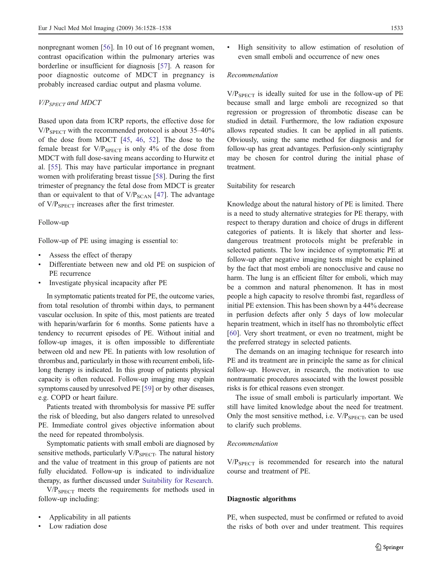nonpregnant women [\[56](#page-10-0)]. In 10 out of 16 pregnant women, contrast opacification within the pulmonary arteries was borderline or insufficient for diagnosis [\[57](#page-10-0)]. A reason for poor diagnostic outcome of MDCT in pregnancy is probably increased cardiac output and plasma volume.

#### $V/P_{SPECT}$  and MDCT

Based upon data from ICRP reports, the effective dose for  $V/P<sub>SPECT</sub>$  with the recommended protocol is about 35–40% of the dose from MDCT [\[45](#page-10-0), [46](#page-10-0), [52\]](#page-10-0). The dose to the female breast for  $V/P_{SPECT}$  is only 4% of the dose from MDCT with full dose-saving means according to Hurwitz et al. [\[55](#page-10-0)]. This may have particular importance in pregnant women with proliferating breast tissue [\[58](#page-10-0)]. During the first trimester of pregnancy the fetal dose from MDCT is greater than or equivalent to that of  $V/P_{SCAN}$  [[47\]](#page-10-0). The advantage of  $V/P_{SPECT}$  increases after the first trimester.

# Follow-up

Follow-up of PE using imaging is essential to:

- & Assess the effect of therapy
- Differentiate between new and old PE on suspicion of PE recurrence
- Investigate physical incapacity after PE

In symptomatic patients treated for PE, the outcome varies, from total resolution of thrombi within days, to permanent vascular occlusion. In spite of this, most patients are treated with heparin/warfarin for 6 months. Some patients have a tendency to recurrent episodes of PE. Without initial and follow-up images, it is often impossible to differentiate between old and new PE. In patients with low resolution of thrombus and, particularly in those with recurrent emboli, lifelong therapy is indicated. In this group of patients physical capacity is often reduced. Follow-up imaging may explain symptoms caused by unresolved PE [[59\]](#page-10-0) or by other diseases, e.g. COPD or heart failure.

Patients treated with thrombolysis for massive PE suffer the risk of bleeding, but also dangers related to unresolved PE. Immediate control gives objective information about the need for repeated thrombolysis.

Symptomatic patients with small emboli are diagnosed by sensitive methods, particularly  $V/P_{SPECT}$ . The natural history and the value of treatment in this group of patients are not fully elucidated. Follow-up is indicated to individualize therapy, as further discussed under Suitability for Research.

 $V/P<sub>SPECT</sub>$  meets the requirements for methods used in follow-up including:

- & Applicability in all patients
- Low radiation dose

& High sensitivity to allow estimation of resolution of even small emboli and occurrence of new ones

## Recommendation

 $V/P<sub>SPECT</sub>$  is ideally suited for use in the follow-up of PE because small and large emboli are recognized so that regression or progression of thrombotic disease can be studied in detail. Furthermore, the low radiation exposure allows repeated studies. It can be applied in all patients. Obviously, using the same method for diagnosis and for follow-up has great advantages. Perfusion-only scintigraphy may be chosen for control during the initial phase of treatment.

## Suitability for research

Knowledge about the natural history of PE is limited. There is a need to study alternative strategies for PE therapy, with respect to therapy duration and choice of drugs in different categories of patients. It is likely that shorter and lessdangerous treatment protocols might be preferable in selected patients. The low incidence of symptomatic PE at follow-up after negative imaging tests might be explained by the fact that most emboli are nonocclusive and cause no harm. The lung is an efficient filter for emboli, which may be a common and natural phenomenon. It has in most people a high capacity to resolve thrombi fast, regardless of initial PE extension. This has been shown by a 44% decrease in perfusion defects after only 5 days of low molecular heparin treatment, which in itself has no thrombolytic effect [\[60](#page-10-0)]. Very short treatment, or even no treatment, might be the preferred strategy in selected patients.

The demands on an imaging technique for research into PE and its treatment are in principle the same as for clinical follow-up. However, in research, the motivation to use nontraumatic procedures associated with the lowest possible risks is for ethical reasons even stronger.

The issue of small emboli is particularly important. We still have limited knowledge about the need for treatment. Only the most sensitive method, i.e.  $V/P_{SPECT}$ , can be used to clarify such problems.

## Recommendation

 $V/P_{SPECT}$  is recommended for research into the natural course and treatment of PE.

## Diagnostic algorithms

PE, when suspected, must be confirmed or refuted to avoid the risks of both over and under treatment. This requires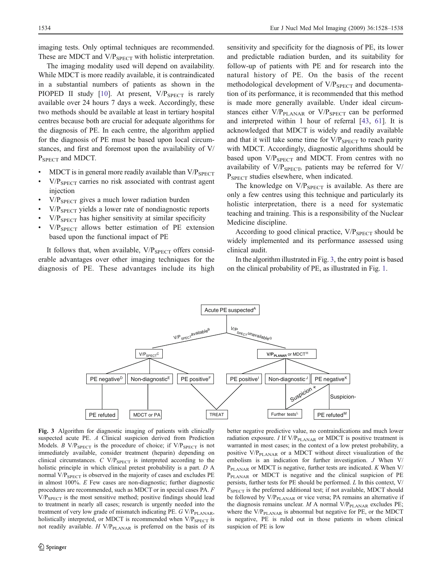imaging tests. Only optimal techniques are recommended. These are MDCT and  $V/P_{SPECT}$  with holistic interpretation.

The imaging modality used will depend on availability. While MDCT is more readily available, it is contraindicated in a substantial numbers of patients as shown in the PIOPED II study [[10\]](#page-9-0). At present, V/P<sub>SPECT</sub> is rarely available over 24 hours 7 days a week. Accordingly, these two methods should be available at least in tertiary hospital centres because both are crucial for adequate algorithms for the diagnosis of PE. In each centre, the algorithm applied for the diagnosis of PE must be based upon local circumstances, and first and foremost upon the availability of V/ P<sub>SPECT</sub> and MDCT.

- $\bullet$  MDCT is in general more readily available than V/P<sub>SPECT</sub>
- $V/P<sub>SPECT</sub>$  carries no risk associated with contrast agent injection
- $V/P_{SPECT}$  gives a much lower radiation burden
- V/P<sub>SPECT</sub> yields a lower rate of nondiagnostic reports
- $V/P<sub>SPECT</sub>$  has higher sensitivity at similar specificity
- $V/P_{\text{SPECT}}$  allows better estimation of PE extension based upon the functional impact of PE

It follows that, when available,  $V/P_{SPECT}$  offers considerable advantages over other imaging techniques for the diagnosis of PE. These advantages include its high

sensitivity and specificity for the diagnosis of PE, its lower and predictable radiation burden, and its suitability for follow-up of patients with PE and for research into the natural history of PE. On the basis of the recent methodological development of  $V/P_{SPECT}$  and documentation of its performance, it is recommended that this method is made more generally available. Under ideal circumstances either  $V/P<sub>PLANAR</sub>$  or  $V/P<sub>SPECT</sub>$  can be performed and interpreted within 1 hour of referral [[43,](#page-10-0) [61](#page-10-0)]. It is acknowledged that MDCT is widely and readily available and that it will take some time for  $V/P_{SPECT}$  to reach parity with MDCT. Accordingly, diagnostic algorithms should be based upon  $V/P_{SPECT}$  and MDCT. From centres with no availability of  $V/P_{SPECT}$ , patients may be referred for  $V/P$ P<sub>SPECT</sub> studies elsewhere, when indicated.

The knowledge on  $V/P_{SPECT}$  is available. As there are only a few centres using this technique and particularly its holistic interpretation, there is a need for systematic teaching and training. This is a responsibility of the Nuclear Medicine discipline.

According to good clinical practice,  $V/P_{SPECT}$  should be widely implemented and its performance assessed using clinical audit.

In the algorithm illustrated in Fig. 3, the entry point is based on the clinical probability of PE, as illustrated in Fig. [1](#page-2-0).



Fig. 3 Algorithm for diagnostic imaging of patients with clinically suspected acute PE. A Clinical suspicion derived from Prediction Models. B V/P<sub>SPECT</sub> is the procedure of choice; if V/P<sub>SPECT</sub> is not immediately available, consider treatment (heparin) depending on clinical circumstances.  $C$  V/P<sub>SPECT</sub> is interpreted according to the holistic principle in which clinical pretest probability is a part. D A normal V/P<sub>SPECT</sub> is observed in the majority of cases and excludes PE in almost 100%. E Few cases are non-diagnostic; further diagnostic procedures are recommended, such as MDCT or in special cases PA. F  $V/P<sub>SPECT</sub>$  is the most sensitive method; positive findings should lead to treatment in nearly all cases; research is urgently needed into the treatment of very low grade of mismatch indicating PE. G V/P<sub>PLANAR</sub>, holistically interpreted, or MDCT is recommended when V/P<sub>SPECT</sub> is not readily available.  $H V/P<sub>PLANAR</sub>$  is preferred on the basis of its

better negative predictive value, no contraindications and much lower radiation exposure. I If  $V/P<sub>PLANAR</sub>$  or MDCT is positive treatment is warranted in most cases; in the context of a low pretest probability, a positive  $V/P<sub>PLANAR</sub>$  or a MDCT without direct visualization of the embolism is an indication for further investigation. J When V/  $P_{\text{PLANAR}}$  or MDCT is negative, further tests are indicated. K When V/ P<sub>PLANAR</sub> or MDCT is negative and the clinical suspicion of PE persists, further tests for PE should be performed. L In this context, V/ P<sub>SPECT</sub> is the preferred additional test; if not available, MDCT should be followed by  $V/P<sub>PLANAR</sub>$  or vice versa; PA remains an alternative if the diagnosis remains unclear.  $M$  A normal V/P<sub>PLANAR</sub> excludes PE; where the  $V/P<sub>PLANAR</sub>$  is abnormal but negative for PE, or the MDCT is negative, PE is ruled out in those patients in whom clinical suspicion of PE is low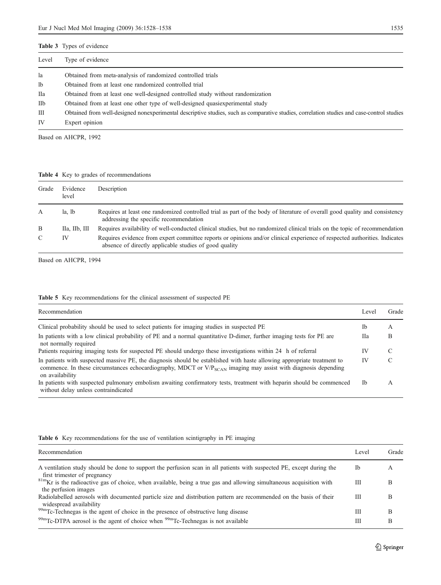<span id="page-7-0"></span>

| Level          | Type of evidence                                                                                                                           |
|----------------|--------------------------------------------------------------------------------------------------------------------------------------------|
| la             | Obtained from meta-analysis of randomized controlled trials                                                                                |
| 1 <sub>b</sub> | Obtained from at least one randomized controlled trial                                                                                     |
| Пa             | Obtained from at least one well-designed controlled study without randomization                                                            |
| IIb            | Obtained from at least one other type of well-designed quasiexperimental study                                                             |
| Ш              | Obtained from well-designed nonexperimental descriptive studies, such as comparative studies, correlation studies and case-control studies |
| IV             | Expert opinion                                                                                                                             |

Based on AHCPR, 1992

Table 4 Key to grades of recommendations

| Grade         | Evidence<br>level     | Description                                                                                                                                                                          |
|---------------|-----------------------|--------------------------------------------------------------------------------------------------------------------------------------------------------------------------------------|
| А             | la. lb                | Requires at least one randomized controlled trial as part of the body of literature of overall good quality and consistency<br>addressing the specific recommendation                |
| B             | $IIa$ , $IIb$ , $III$ | Requires availability of well-conducted clinical studies, but no randomized clinical trials on the topic of recommendation                                                           |
| $\mathcal{C}$ | IV                    | Requires evidence from expert committee reports or opinions and/or clinical experience of respected authorities. Indicates<br>absence of directly applicable studies of good quality |

Based on AHCPR, 1994

|  |  | <b>Table 5</b> Key recommendations for the clinical assessment of suspected PE |  |  |  |  |  |  |  |
|--|--|--------------------------------------------------------------------------------|--|--|--|--|--|--|--|
|--|--|--------------------------------------------------------------------------------|--|--|--|--|--|--|--|

| Recommendation                                                                                                                                                                                                                                                    | Level | Grade |
|-------------------------------------------------------------------------------------------------------------------------------------------------------------------------------------------------------------------------------------------------------------------|-------|-------|
| Clinical probability should be used to select patients for imaging studies in suspected PE                                                                                                                                                                        | Ib    | А     |
| In patients with a low clinical probability of PE and a normal quantitative D-dimer, further imaging tests for PE are<br>not normally required                                                                                                                    | Hа    | B     |
| Patients requiring imaging tests for suspected PE should undergo these investigations within 24 h of referral                                                                                                                                                     | IV    |       |
| In patients with suspected massive PE, the diagnosis should be established with haste allowing appropriate treatment to<br>commence. In these circumstances echocardiography, MDCT or $V/P_{SCAN}$ imaging may assist with diagnosis depending<br>on availability | IV    | C     |
| In patients with suspected pulmonary embolism awaiting confirmatory tests, treatment with heparin should be commenced<br>without delay unless contraindicated                                                                                                     | - Th  | A     |

## Table 6 Key recommendations for the use of ventilation scintigraphy in PE imaging

| Recommendation                                                                                                                                        | Level | Grade |
|-------------------------------------------------------------------------------------------------------------------------------------------------------|-------|-------|
| A ventilation study should be done to support the perfusion scan in all patients with suspected PE, except during the<br>first trimester of pregnancy | Ib    | A     |
| $81mKr$ is the radioactive gas of choice, when available, being a true gas and allowing simultaneous acquisition with<br>the perfusion images         | Ш     | В     |
| Radiolabelled aerosols with documented particle size and distribution pattern are recommended on the basis of their<br>widespread availability        | Ш     | В     |
| 99mTc-Technegas is the agent of choice in the presence of obstructive lung disease                                                                    | Ш     | В     |
| $^{99m}$ Tc-DTPA aerosol is the agent of choice when $^{99m}$ Tc-Technegas is not available                                                           | Ш     | В     |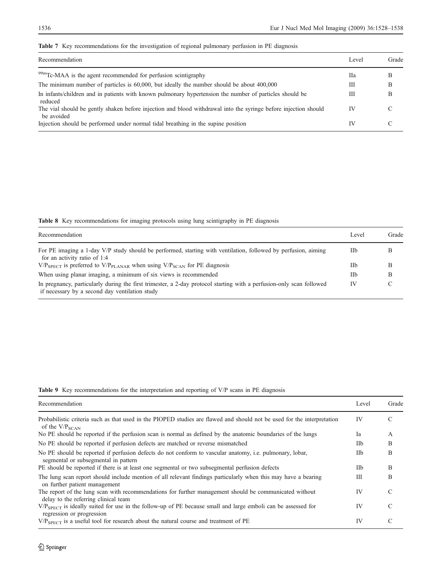<span id="page-8-0"></span>

|  |  | <b>Table 7</b> Key recommendations for the investigation of regional pulmonary perfusion in PE diagnosis |  |  |  |  |  |  |
|--|--|----------------------------------------------------------------------------------------------------------|--|--|--|--|--|--|
|--|--|----------------------------------------------------------------------------------------------------------|--|--|--|--|--|--|

| Recommendation                                                                                                                | Level | Grade |
|-------------------------------------------------------------------------------------------------------------------------------|-------|-------|
| <sup>99m</sup> Tc-MAA is the agent recommended for perfusion scintigraphy                                                     | Па    | В     |
| The minimum number of particles is 60,000, but ideally the number should be about 400,000                                     | Ш     | B     |
| In infants/children and in patients with known pulmonary hypertension the number of particles should be<br>reduced            | Ш     | B     |
| The vial should be gently shaken before injection and blood withdrawal into the syringe before injection should<br>be avoided | IV    |       |
| Injection should be performed under normal tidal breathing in the supine position                                             | IV    |       |

Table 8 Key recommendations for imaging protocols using lung scintigraphy in PE diagnosis

| Recommendation                                                                                                                                                         | Level      | Grade |
|------------------------------------------------------------------------------------------------------------------------------------------------------------------------|------------|-------|
| For PE imaging a 1-day V/P study should be performed, starting with ventilation, followed by perfusion, aiming<br>for an activity ratio of 1:4                         | IIb        |       |
| $V/P_{SPECT}$ is preferred to $V/P_{PLANAR}$ when using $V/P_{SCAN}$ for PE diagnosis                                                                                  | <b>IIb</b> |       |
| When using planar imaging, a minimum of six views is recommended                                                                                                       | IIb        | В     |
| In pregnancy, particularly during the first trimester, a 2-day protocol starting with a perfusion-only scan followed<br>if necessary by a second day ventilation study | IV         |       |

# Table 9 Key recommendations for the interpretation and reporting of V/P scans in PE diagnosis

| Recommendation                                                                                                                                        | Level | Grade |
|-------------------------------------------------------------------------------------------------------------------------------------------------------|-------|-------|
| Probabilistic criteria such as that used in the PIOPED studies are flawed and should not be used for the interpretation<br>of the $V/P_{\text{SCAN}}$ | IV    | C     |
| No PE should be reported if the perfusion scan is normal as defined by the anatomic boundaries of the lungs                                           | Ia    | A     |
| No PE should be reported if perfusion defects are matched or reverse mismatched                                                                       | IIb   | B     |
| No PE should be reported if perfusion defects do not conform to vascular anatomy, i.e. pulmonary, lobar,<br>segmental or subsegmental in pattern      | IIb   | B     |
| PE should be reported if there is at least one segmental or two subsegmental perfusion defects                                                        | IIb   | B     |
| The lung scan report should include mention of all relevant findings particularly when this may have a bearing<br>on further patient management       | Ш     | B     |
| The report of the lung scan with recommendations for further management should be communicated without<br>delay to the referring clinical team        | IV    | C     |
| $V/P_{SPECT}$ is ideally suited for use in the follow-up of PE because small and large emboli can be assessed for<br>regression or progression        | IV    | C     |
| $V/P_{\text{SPECT}}$ is a useful tool for research about the natural course and treatment of PE                                                       | IV    | C     |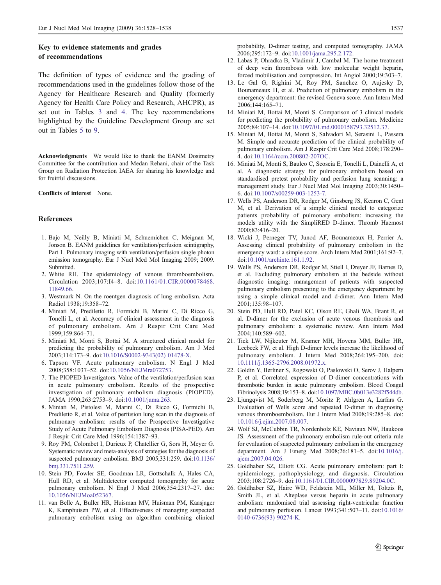# <span id="page-9-0"></span>Key to evidence statements and grades of recommendations

The definition of types of evidence and the grading of recommendations used in the guidelines follow those of the Agency for Healthcare Research and Quality (formerly Agency for Health Care Policy and Research, AHCPR), as set out in Tables [3](#page-7-0) and [4](#page-7-0). The key recommendations highlighted by the Guideline Development Group are set out in Tables [5](#page-7-0) to [9.](#page-8-0)

Acknowledgments We would like to thank the EANM Dosimetry Committee for the contribution and Medan Rehani, chair of the Task Group on Radiation Protection IAEA for sharing his knowledge and for fruitful discussions.

Conflicts of interest None.

## References

- 1. Bajc M, Neilly B, Miniati M, Schuemichen C, Meignan M, Jonson B. EANM guidelines for ventilation/perfusion scintigraphy, Part 1. Pulmonary imaging with ventilation/perfusion single photon emission tomography. Eur J Nucl Med Mol Imaging 2009; 2009. Submitted.
- 2. White RH. The epidemiology of venous thromboembolism. Circulation 2003;107:I4–8. doi:[10.1161/01.CIR.0000078468.](http://dx.doi.org/10.1161/01.CIR.0000078468.11849.66) [11849.66](http://dx.doi.org/10.1161/01.CIR.0000078468.11849.66).
- 3. Westmark N. On the roentgen diagnosis of lung embolism. Acta Radiol 1938;19:358–72.
- 4. Miniati M, Prediletto R, Formichi B, Marini C, Di Ricco G, Tonelli L, et al. Accuracy of clinical assessment in the diagnosis of pulmonary embolism. Am J Respir Crit Care Med 1999;159:864–71.
- 5. Miniati M, Monti S, Bottai M. A structured clinical model for predicting the probability of pulmonary embolism. Am J Med 2003;114:173–9. doi:[10.1016/S0002-9343\(02\) 01478-X.](http://dx.doi.org/10.1016/S0002-9343(02) 01478-X)
- 6. Tapson VF. Acute pulmonary embolism. N Engl J Med 2008;358:1037–52. doi:[10.1056/NEJMra072753.](http://dx.doi.org/10.1056/NEJMra072753)
- 7. The PIOPED Investigators. Value of the ventilation/perfusion scan in acute pulmonary embolism. Results of the prospective investigation of pulmonary embolism diagnosis (PIOPED). JAMA 1990;263:2753–9. doi:[10.1001/jama.263.](http://dx.doi.org/10.1001/jama.263)
- 8. Miniati M, Pistolesi M, Marini C, Di Ricco G, Formichi B, Prediletto R, et al. Value of perfusion lung scan in the diagnosis of pulmonary embolism: results of the Prospective Investigative Study of Acute Pulmonary Embolism Diagnosis (PISA-PED). Am J Respir Crit Care Med 1996;154:1387–93.
- 9. Roy PM, Colombet I, Durieux P, Chatellier G, Sors H, Meyer G. Systematic review and meta-analysis of strategies for the diagnosis of suspected pulmonary embolism. BMJ 2005;331:259. doi[:10.1136/](http://dx.doi.org/10.1136/bmj.331.7511.259) [bmj.331.7511.259.](http://dx.doi.org/10.1136/bmj.331.7511.259)
- 10. Stein PD, Fowler SE, Goodman LR, Gottschalk A, Hales CA, Hull RD, et al. Multidetector computed tomography for acute pulmonary embolism. N Engl J Med 2006;354:2317–27. doi: [10.1056/NEJMoa052367.](http://dx.doi.org/10.1056/NEJMoa052367)
- 11. van Belle A, Buller HR, Huisman MV, Huisman PM, Kaasjager K, Kamphuisen PW, et al. Effectiveness of managing suspected pulmonary embolism using an algorithm combining clinical

probability, D-dimer testing, and computed tomography. JAMA 2006;295:172–9. doi:[10.1001/jama.295.2.172.](http://dx.doi.org/10.1001/jama.295.2.172)

- 12. Labas P, Ohradka B, Vladimir J, Cambal M. The home treatment of deep vein thrombosis with low molecular weight heparin, forced mobilisation and compression. Int Angiol 2000;19:303–7.
- 13. Le Gal G, Righini M, Roy PM, Sanchez O, Aujesky D, Bounameaux H, et al. Prediction of pulmonary embolism in the emergency department: the revised Geneva score. Ann Intern Med 2006;144:165–71.
- 14. Miniati M, Bottai M, Monti S. Comparison of 3 clinical models for predicting the probability of pulmonary embolism. Medicine 2005;84:107–14. doi[:10.1097/01.md.0000158793.32512.37.](http://dx.doi.org/10.1097/01.md.0000158793.32512.37)
- 15. Miniati M, Bottai M, Monti S, Salvadori M, Serasini L, Passera M. Simple and accurate prediction of the clinical probability of pulmonary embolism. Am J Respir Crit Care Med 2008;178:290– 4. doi:[10.1164/rccm.200802-207OC.](http://dx.doi.org/10.1164/rccm.200802-207OC)
- 16. Miniati M, Monti S, Bauleo C, Scoscia E, Tonelli L, Dainelli A, et al. A diagnostic strategy for pulmonary embolism based on standardised pretest probability and perfusion lung scanning: a management study. Eur J Nucl Med Mol Imaging 2003;30:1450– 6. doi:[10.1007/s00259-003-1253-7](http://dx.doi.org/10.1007/s00259-003-1253-7).
- 17. Wells PS, Anderson DR, Rodger M, Ginsberg JS, Kearon C, Gent M, et al. Derivation of a simple clinical model to categorize patients probability of pulmonary embolism: increasing the models utility with the SimpliRED D-dimer. Thromb Haemost 2000;83:416–20.
- 18. Wicki J, Perneger TV, Junod AF, Bounameaux H, Perrier A. Assessing clinical probability of pulmonary embolism in the emergency ward: a simple score. Arch Intern Med 2001;161:92–7. doi:[10.1001/archinte.161.1.92](http://dx.doi.org/10.1001/archinte.161.1.92).
- 19. Wells PS, Anderson DR, Rodger M, Stiell I, Dreyer JF, Barnes D, et al. Excluding pulmonary embolism at the bedside without diagnostic imaging: management of patients with suspected pulmonary embolism presenting to the emergency department by using a simple clinical model and d-dimer. Ann Intern Med 2001;135:98–107.
- 20. Stein PD, Hull RD, Patel KC, Olson RE, Ghali WA, Brant R, et al. D-dimer for the exclusion of acute venous thrombosis and pulmonary embolism: a systematic review. Ann Intern Med 2004;140:589–602.
- 21. Tick LW, Nijkeuter M, Kramer MH, Hovens MM, Buller HR, Leebeek FW, et al. High D-dimer levels increase the likelihood of pulmonary embolism. J Intern Med 2008;264:195–200. doi: [10.1111/j.1365-2796.2008.01972.x](http://dx.doi.org/10.1111/j.1365-2796.2008.01972.x).
- 22. Goldin Y, Berliner S, Rogowski O, Paslowski O, Serov J, Halpern P, et al. Correlated expression of D-dimer concentrations with thrombotic burden in acute pulmonary embolism. Blood Coagul Fibrinolysis 2008;19:153–8. doi:[10.1097/MBC.0b013e3282f544db](http://dx.doi.org/10.1097/MBC.0b013e3282f544db).
- 23. Ljungqvist M, Soderberg M, Moritz P, Ahlgren A, Larfars G. Evaluation of Wells score and repeated D-dimer in diagnosing venous thromboembolism. Eur J Intern Med 2008;19:285–8. doi: [10.1016/j.ejim.2007.08.007](http://dx.doi.org/10.1016/j.ejim.2007.08.007).
- 24. Wolf SJ, McCubbin TR, Nordenholz KE, Naviaux NW, Haukoos JS. Assessment of the pulmonary embolism rule-out criteria rule for evaluation of suspected pulmonary embolism in the emergency department. Am J Emerg Med 2008;26:181–5. doi:[10.1016/j.](http://dx.doi.org/10.1016/j.ajem.2007.04.026) [ajem.2007.04.026](http://dx.doi.org/10.1016/j.ajem.2007.04.026).
- 25. Goldhaber SZ, Elliott CG. Acute pulmonary embolism: part I: epidemiology, pathophysiology, and diagnosis. Circulation 2003;108:2726–9. doi[:10.1161/01.CIR.0000097829.89204.0C](http://dx.doi.org/10.1161/01.CIR.0000097829.89204.0C).
- 26. Goldhaber SZ, Haire WD, Feldstein ML, Miller M, Toltzis R, Smith JL, et al. Alteplase versus heparin in acute pulmonary embolism: randomised trial assessing right-ventricular function and pulmonary perfusion. Lancet 1993;341:507–11. doi[:10.1016/](http://dx.doi.org/10.1016/0140-6736(93) 90274-K) [0140-6736\(93\) 90274-K](http://dx.doi.org/10.1016/0140-6736(93) 90274-K).